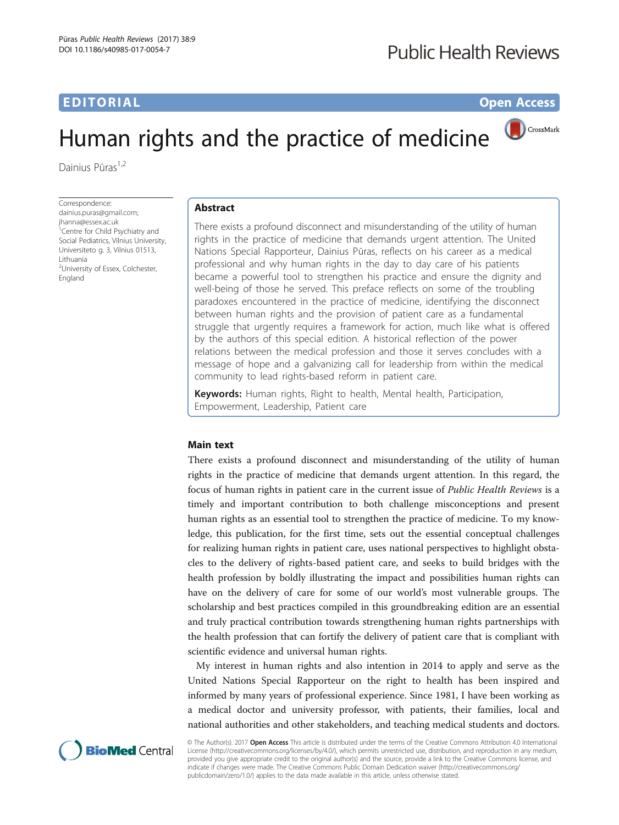## EDITORIAL CONTRACT CONTRACT CONTRACT CONTRACT CONTRACT CONTRACT CONTRACT CONTRACT CONTRACT CONTRACT CONTRACT CO

CrossMark

# Human rights and the practice of medicine

Dainius Pūras<sup>1,2</sup>

Correspondence [dainius.puras@gmail.com;](mailto:dainius.puras@gmail.com) [jhanna@essex.ac.uk](mailto:jhanna@essex.ac.uk) <sup>1</sup>Centre for Child Psychiatry and Social Pediatrics, Vilnius University, Universiteto g. 3, Vilnius 01513, Lithuania <sup>2</sup>University of Essex, Colchester, England

## Abstract

There exists a profound disconnect and misunderstanding of the utility of human rights in the practice of medicine that demands urgent attention. The United Nations Special Rapporteur, Dainius Pūras, reflects on his career as a medical professional and why human rights in the day to day care of his patients became a powerful tool to strengthen his practice and ensure the dignity and well-being of those he served. This preface reflects on some of the troubling paradoxes encountered in the practice of medicine, identifying the disconnect between human rights and the provision of patient care as a fundamental struggle that urgently requires a framework for action, much like what is offered by the authors of this special edition. A historical reflection of the power relations between the medical profession and those it serves concludes with a message of hope and a galvanizing call for leadership from within the medical community to lead rights-based reform in patient care.

Keywords: Human rights, Right to health, Mental health, Participation, Empowerment, Leadership, Patient care

## Main text

There exists a profound disconnect and misunderstanding of the utility of human rights in the practice of medicine that demands urgent attention. In this regard, the focus of human rights in patient care in the current issue of Public Health Reviews is a timely and important contribution to both challenge misconceptions and present human rights as an essential tool to strengthen the practice of medicine. To my knowledge, this publication, for the first time, sets out the essential conceptual challenges for realizing human rights in patient care, uses national perspectives to highlight obstacles to the delivery of rights-based patient care, and seeks to build bridges with the health profession by boldly illustrating the impact and possibilities human rights can have on the delivery of care for some of our world's most vulnerable groups. The scholarship and best practices compiled in this groundbreaking edition are an essential and truly practical contribution towards strengthening human rights partnerships with the health profession that can fortify the delivery of patient care that is compliant with scientific evidence and universal human rights.

My interest in human rights and also intention in 2014 to apply and serve as the United Nations Special Rapporteur on the right to health has been inspired and informed by many years of professional experience. Since 1981, I have been working as a medical doctor and university professor, with patients, their families, local and national authorities and other stakeholders, and teaching medical students and doctors.



© The Author(s). 2017 Open Access This article is distributed under the terms of the Creative Commons Attribution 4.0 International License ([http://creativecommons.org/licenses/by/4.0/\)](http://creativecommons.org/licenses/by/4.0/), which permits unrestricted use, distribution, and reproduction in any medium, provided you give appropriate credit to the original author(s) and the source, provide a link to the Creative Commons license, and indicate if changes were made. The Creative Commons Public Domain Dedication waiver ([http://creativecommons.org/](http://creativecommons.org/publicdomain/zero/1.0/) [publicdomain/zero/1.0/\)](http://creativecommons.org/publicdomain/zero/1.0/) applies to the data made available in this article, unless otherwise stated.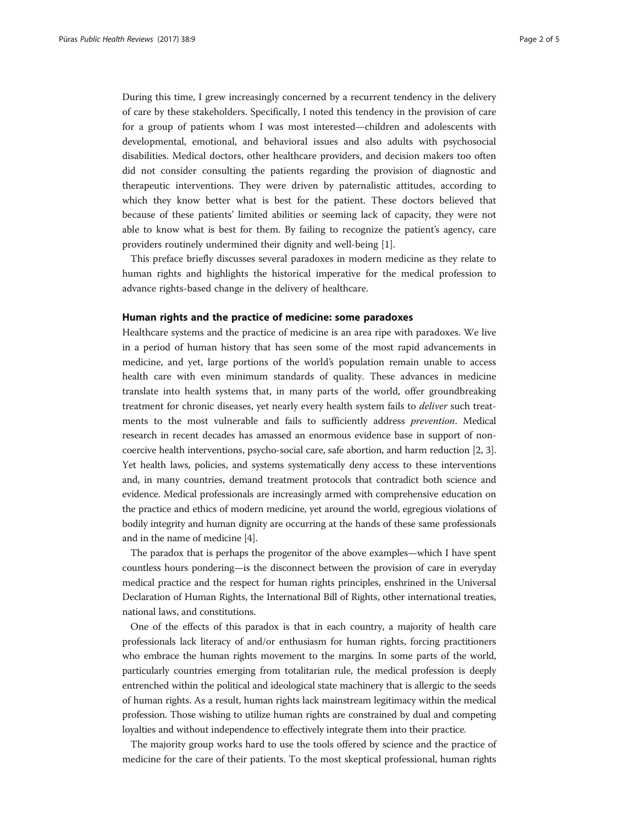During this time, I grew increasingly concerned by a recurrent tendency in the delivery of care by these stakeholders. Specifically, I noted this tendency in the provision of care for a group of patients whom I was most interested—children and adolescents with developmental, emotional, and behavioral issues and also adults with psychosocial disabilities. Medical doctors, other healthcare providers, and decision makers too often did not consider consulting the patients regarding the provision of diagnostic and therapeutic interventions. They were driven by paternalistic attitudes, according to which they know better what is best for the patient. These doctors believed that because of these patients' limited abilities or seeming lack of capacity, they were not able to know what is best for them. By failing to recognize the patient's agency, care providers routinely undermined their dignity and well-being [\[1](#page-4-0)].

This preface briefly discusses several paradoxes in modern medicine as they relate to human rights and highlights the historical imperative for the medical profession to advance rights-based change in the delivery of healthcare.

## Human rights and the practice of medicine: some paradoxes

Healthcare systems and the practice of medicine is an area ripe with paradoxes. We live in a period of human history that has seen some of the most rapid advancements in medicine, and yet, large portions of the world's population remain unable to access health care with even minimum standards of quality. These advances in medicine translate into health systems that, in many parts of the world, offer groundbreaking treatment for chronic diseases, yet nearly every health system fails to deliver such treatments to the most vulnerable and fails to sufficiently address prevention. Medical research in recent decades has amassed an enormous evidence base in support of noncoercive health interventions, psycho-social care, safe abortion, and harm reduction [[2, 3](#page-4-0)]. Yet health laws, policies, and systems systematically deny access to these interventions and, in many countries, demand treatment protocols that contradict both science and evidence. Medical professionals are increasingly armed with comprehensive education on the practice and ethics of modern medicine, yet around the world, egregious violations of bodily integrity and human dignity are occurring at the hands of these same professionals and in the name of medicine [\[4\]](#page-4-0).

The paradox that is perhaps the progenitor of the above examples—which I have spent countless hours pondering—is the disconnect between the provision of care in everyday medical practice and the respect for human rights principles, enshrined in the Universal Declaration of Human Rights, the International Bill of Rights, other international treaties, national laws, and constitutions.

One of the effects of this paradox is that in each country, a majority of health care professionals lack literacy of and/or enthusiasm for human rights, forcing practitioners who embrace the human rights movement to the margins. In some parts of the world, particularly countries emerging from totalitarian rule, the medical profession is deeply entrenched within the political and ideological state machinery that is allergic to the seeds of human rights. As a result, human rights lack mainstream legitimacy within the medical profession. Those wishing to utilize human rights are constrained by dual and competing loyalties and without independence to effectively integrate them into their practice.

The majority group works hard to use the tools offered by science and the practice of medicine for the care of their patients. To the most skeptical professional, human rights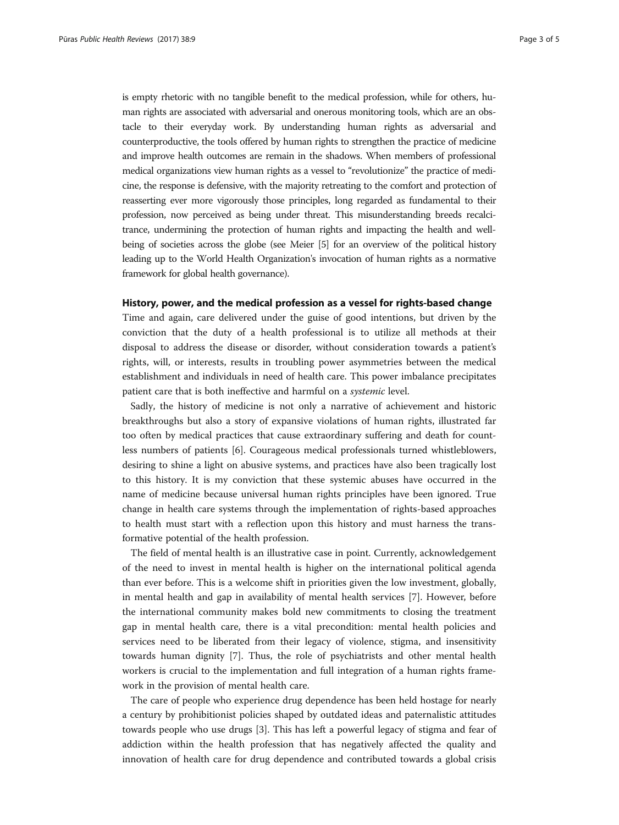is empty rhetoric with no tangible benefit to the medical profession, while for others, human rights are associated with adversarial and onerous monitoring tools, which are an obstacle to their everyday work. By understanding human rights as adversarial and counterproductive, the tools offered by human rights to strengthen the practice of medicine and improve health outcomes are remain in the shadows. When members of professional medical organizations view human rights as a vessel to "revolutionize" the practice of medicine, the response is defensive, with the majority retreating to the comfort and protection of reasserting ever more vigorously those principles, long regarded as fundamental to their profession, now perceived as being under threat. This misunderstanding breeds recalcitrance, undermining the protection of human rights and impacting the health and wellbeing of societies across the globe (see Meier [\[5\]](#page-4-0) for an overview of the political history leading up to the World Health Organization's invocation of human rights as a normative framework for global health governance).

## History, power, and the medical profession as a vessel for rights-based change

Time and again, care delivered under the guise of good intentions, but driven by the conviction that the duty of a health professional is to utilize all methods at their disposal to address the disease or disorder, without consideration towards a patient's rights, will, or interests, results in troubling power asymmetries between the medical establishment and individuals in need of health care. This power imbalance precipitates patient care that is both ineffective and harmful on a systemic level.

Sadly, the history of medicine is not only a narrative of achievement and historic breakthroughs but also a story of expansive violations of human rights, illustrated far too often by medical practices that cause extraordinary suffering and death for countless numbers of patients [\[6](#page-4-0)]. Courageous medical professionals turned whistleblowers, desiring to shine a light on abusive systems, and practices have also been tragically lost to this history. It is my conviction that these systemic abuses have occurred in the name of medicine because universal human rights principles have been ignored. True change in health care systems through the implementation of rights-based approaches to health must start with a reflection upon this history and must harness the transformative potential of the health profession.

The field of mental health is an illustrative case in point. Currently, acknowledgement of the need to invest in mental health is higher on the international political agenda than ever before. This is a welcome shift in priorities given the low investment, globally, in mental health and gap in availability of mental health services [\[7](#page-4-0)]. However, before the international community makes bold new commitments to closing the treatment gap in mental health care, there is a vital precondition: mental health policies and services need to be liberated from their legacy of violence, stigma, and insensitivity towards human dignity [\[7\]](#page-4-0). Thus, the role of psychiatrists and other mental health workers is crucial to the implementation and full integration of a human rights framework in the provision of mental health care.

The care of people who experience drug dependence has been held hostage for nearly a century by prohibitionist policies shaped by outdated ideas and paternalistic attitudes towards people who use drugs [\[3](#page-4-0)]. This has left a powerful legacy of stigma and fear of addiction within the health profession that has negatively affected the quality and innovation of health care for drug dependence and contributed towards a global crisis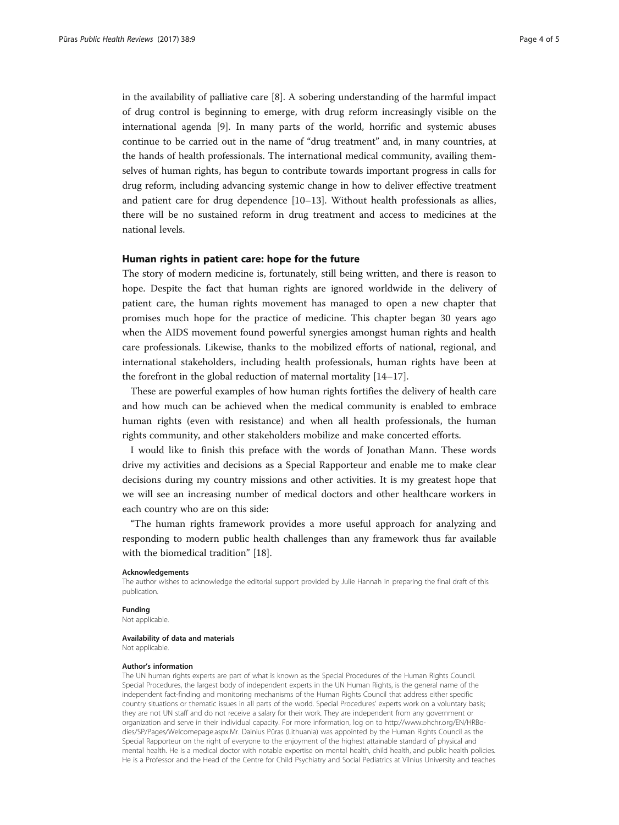in the availability of palliative care [\[8](#page-4-0)]. A sobering understanding of the harmful impact of drug control is beginning to emerge, with drug reform increasingly visible on the international agenda [[9\]](#page-4-0). In many parts of the world, horrific and systemic abuses continue to be carried out in the name of "drug treatment" and, in many countries, at the hands of health professionals. The international medical community, availing themselves of human rights, has begun to contribute towards important progress in calls for drug reform, including advancing systemic change in how to deliver effective treatment and patient care for drug dependence [[10](#page-4-0)–[13](#page-4-0)]. Without health professionals as allies, there will be no sustained reform in drug treatment and access to medicines at the national levels.

## Human rights in patient care: hope for the future

The story of modern medicine is, fortunately, still being written, and there is reason to hope. Despite the fact that human rights are ignored worldwide in the delivery of patient care, the human rights movement has managed to open a new chapter that promises much hope for the practice of medicine. This chapter began 30 years ago when the AIDS movement found powerful synergies amongst human rights and health care professionals. Likewise, thanks to the mobilized efforts of national, regional, and international stakeholders, including health professionals, human rights have been at the forefront in the global reduction of maternal mortality [\[14](#page-4-0)–[17](#page-4-0)].

These are powerful examples of how human rights fortifies the delivery of health care and how much can be achieved when the medical community is enabled to embrace human rights (even with resistance) and when all health professionals, the human rights community, and other stakeholders mobilize and make concerted efforts.

I would like to finish this preface with the words of Jonathan Mann. These words drive my activities and decisions as a Special Rapporteur and enable me to make clear decisions during my country missions and other activities. It is my greatest hope that we will see an increasing number of medical doctors and other healthcare workers in each country who are on this side:

"The human rights framework provides a more useful approach for analyzing and responding to modern public health challenges than any framework thus far available with the biomedical tradition" [[18](#page-4-0)].

#### Acknowledgements

The author wishes to acknowledge the editorial support provided by Julie Hannah in preparing the final draft of this publication.

### Funding

Not applicable.

#### Availability of data and materials Not applicable.

#### Author's information

The UN human rights experts are part of what is known as the Special Procedures of the Human Rights Council. Special Procedures, the largest body of independent experts in the UN Human Rights, is the general name of the independent fact-finding and monitoring mechanisms of the Human Rights Council that address either specific country situations or thematic issues in all parts of the world. Special Procedures' experts work on a voluntary basis; they are not UN staff and do not receive a salary for their work. They are independent from any government or organization and serve in their individual capacity. For more information, log on to [http://www.ohchr.org/EN/HRBo](http://www.ohchr.org/EN/HRBodies/SP/Pages/Welcomepage.aspx)[dies/SP/Pages/Welcomepage.aspx.](http://www.ohchr.org/EN/HRBodies/SP/Pages/Welcomepage.aspx)Mr. Dainius Pūras (Lithuania) was appointed by the Human Rights Council as the Special Rapporteur on the right of everyone to the enjoyment of the highest attainable standard of physical and mental health. He is a medical doctor with notable expertise on mental health, child health, and public health policies. He is a Professor and the Head of the Centre for Child Psychiatry and Social Pediatrics at Vilnius University and teaches